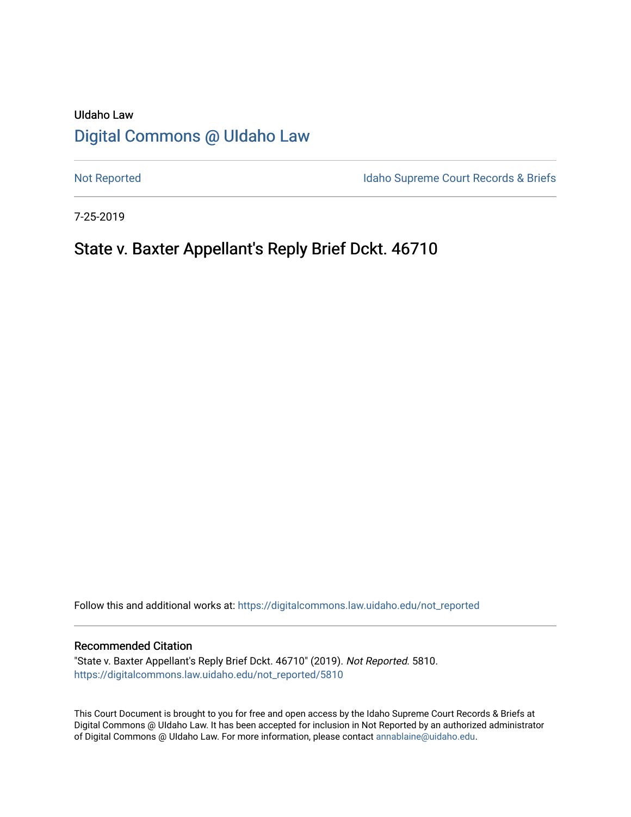# UIdaho Law [Digital Commons @ UIdaho Law](https://digitalcommons.law.uidaho.edu/)

[Not Reported](https://digitalcommons.law.uidaho.edu/not_reported) **Idaho Supreme Court Records & Briefs** 

7-25-2019

# State v. Baxter Appellant's Reply Brief Dckt. 46710

Follow this and additional works at: [https://digitalcommons.law.uidaho.edu/not\\_reported](https://digitalcommons.law.uidaho.edu/not_reported?utm_source=digitalcommons.law.uidaho.edu%2Fnot_reported%2F5810&utm_medium=PDF&utm_campaign=PDFCoverPages) 

## Recommended Citation

"State v. Baxter Appellant's Reply Brief Dckt. 46710" (2019). Not Reported. 5810. [https://digitalcommons.law.uidaho.edu/not\\_reported/5810](https://digitalcommons.law.uidaho.edu/not_reported/5810?utm_source=digitalcommons.law.uidaho.edu%2Fnot_reported%2F5810&utm_medium=PDF&utm_campaign=PDFCoverPages)

This Court Document is brought to you for free and open access by the Idaho Supreme Court Records & Briefs at Digital Commons @ UIdaho Law. It has been accepted for inclusion in Not Reported by an authorized administrator of Digital Commons @ UIdaho Law. For more information, please contact [annablaine@uidaho.edu](mailto:annablaine@uidaho.edu).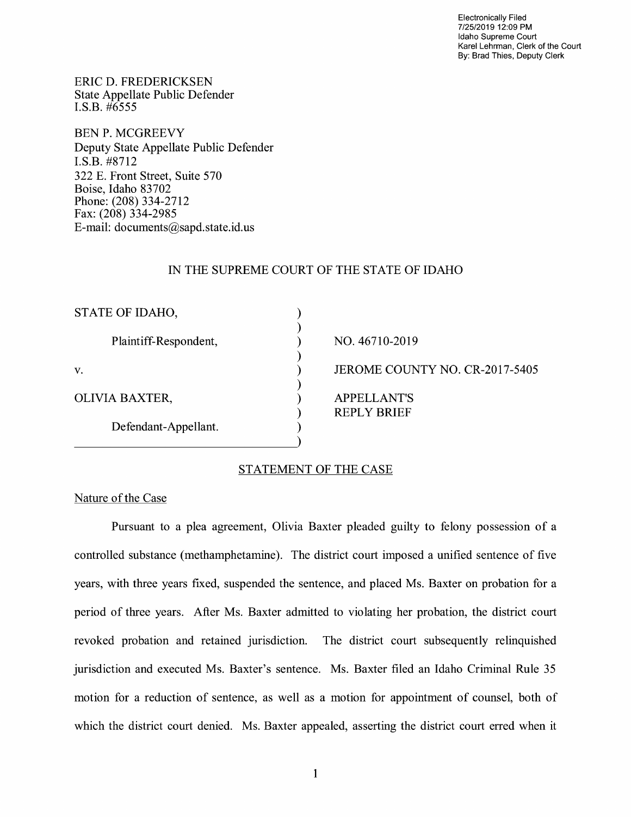Electronically Filed 7/25/2019 12:09 PM Idaho Supreme Court Karel Lehrman, Clerk of the Court By: Brad Thies, Deputy Clerk

ERIC D. FREDERICKSEN State Appellate Public Defender I.S.B. #6555

BEN P. MCGREEVY Deputy State Appellate Public Defender I.S.B. #8712 322 E. Front Street, Suite 570 Boise, Idaho 83702 Phone: (208) 334-2712 Fax: (208) 334-2985 E-mail: documents@sapd.state.id. us

# IN THE SUPREME COURT OF THE STATE OF IDAHO

| STATE OF IDAHO,       |                                |
|-----------------------|--------------------------------|
|                       |                                |
| Plaintiff-Respondent, | NO. 46710-2019                 |
|                       |                                |
| V.                    | JEROME COUNTY NO. CR-2017-5405 |
|                       |                                |
| OLIVIA BAXTER,        | <b>APPELLANT'S</b>             |
|                       | <b>REPLY BRIEF</b>             |
| Defendant-Appellant.  |                                |
|                       |                                |

# STATEMENT OF THE CASE

## Nature of the Case

Pursuant to a plea agreement, Olivia Baxter pleaded guilty to felony possession of a controlled substance (methamphetamine). The district court imposed a unified sentence of five years, with three years fixed, suspended the sentence, and placed Ms. Baxter on probation for a period of three years. After Ms. Baxter admitted to violating her probation, the district court revoked probation and retained jurisdiction. The district court subsequently relinquished jurisdiction and executed Ms. Baxter's sentence. Ms. Baxter filed an Idaho Criminal Rule 35 motion for a reduction of sentence, as well as a motion for appointment of counsel, both of which the district court denied. Ms. Baxter appealed, asserting the district court erred when it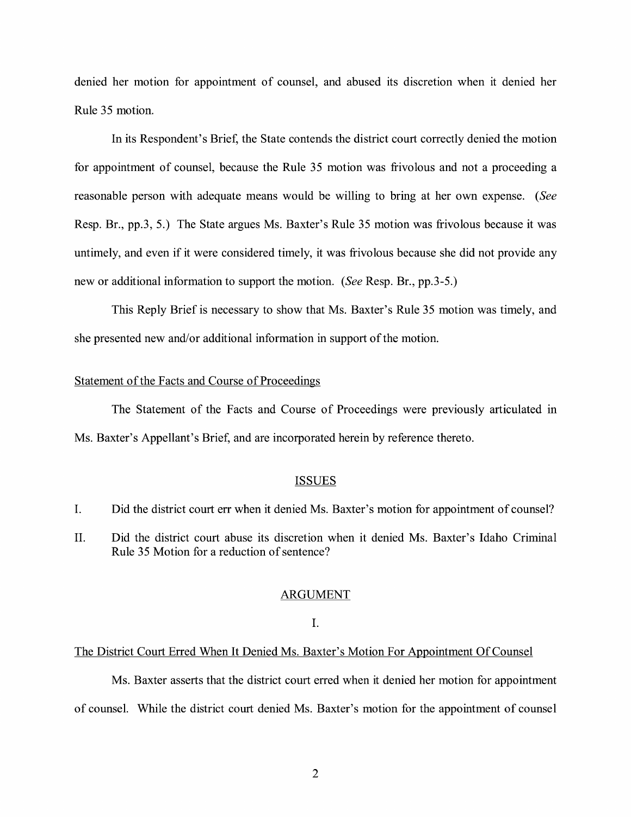denied her motion for appointment of counsel, and abused its discretion when it denied her Rule 35 motion.

In its Respondent's Brief, the State contends the district court correctly denied the motion for appointment of counsel, because the Rule 35 motion was frivolous and not a proceeding a reasonable person with adequate means would be willing to bring at her own expense. *(See*  Resp. Br., pp.3, 5.) The State argues Ms. Baxter's Rule 35 motion was frivolous because it was untimely, and even if it were considered timely, it was frivolous because she did not provide any new or additional information to support the motion. *(See* Resp. Br., pp.3-5.)

This Reply Brief is necessary to show that Ms. Baxter's Rule 35 motion was timely, and she presented new and/or additional information in support of the motion.

# Statement of the Facts and Course of Proceedings

The Statement of the Facts and Course of Proceedings were previously articulated in Ms. Baxter's Appellant's Brief, and are incorporated herein by reference thereto.

#### ISSUES

- I. Did the district court err when it denied Ms. Baxter's motion for appointment of counsel?
- II. Did the district court abuse its discretion when it denied Ms. Baxter's Idaho Criminal Rule 35 Motion for a reduction of sentence?

#### ARGUMENT

#### I.

#### The District Court Erred When It Denied Ms. Baxter's Motion For Appointment Of Counsel

Ms. Baxter asserts that the district court erred when it denied her motion for appointment of counsel. While the district court denied Ms. Baxter's motion for the appointment of counsel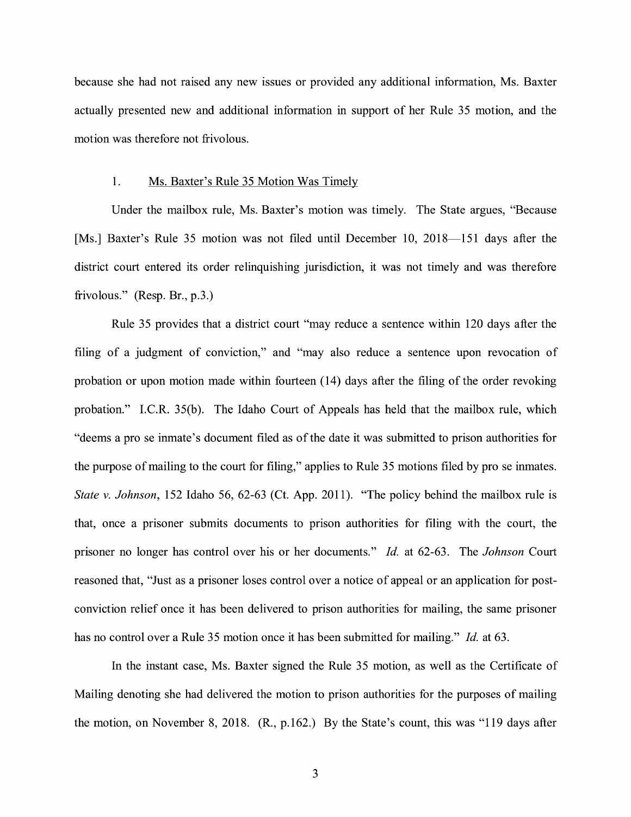because she had not raised any new issues or provided any additional information, Ms. Baxter actually presented new and additional information in support of her Rule 35 motion, and the motion was therefore not frivolous.

## 1. Ms. Baxter's Rule 35 Motion Was Timely

Under the mailbox rule, Ms. Baxter's motion was timely. The State argues, "Because [Ms.] Baxter's Rule 35 motion was not filed until December 10, 2018-151 days after the district court entered its order relinquishing jurisdiction, it was not timely and was therefore frivolous." (Resp. Br., p.3.)

Rule 35 provides that a district court "may reduce a sentence within 120 days after the filing of a judgment of conviction," and "may also reduce a sentence upon revocation of probation or upon motion made within fourteen (14) days after the filing of the order revoking probation." I.C.R. 35(b). The Idaho Court of Appeals has held that the mailbox rule, which "deems a pro se inmate's document filed as of the date it was submitted to prison authorities for the purpose of mailing to the court for filing," applies to Rule 35 motions filed by pro se inmates. *State v. Johnson,* 152 Idaho 56, 62-63 (Ct. App. 2011). "The policy behind the mailbox rule is that, once a prisoner submits documents to prison authorities for filing with the court, the prisoner no longer has control over his or her documents." *Id.* at 62-63. The *Johnson* Court reasoned that, "Just as a prisoner loses control over a notice of appeal or an application for postconviction relief once it has been delivered to prison authorities for mailing, the same prisoner has no control over a Rule 35 motion once it has been submitted for mailing." *Id.* at 63.

In the instant case, Ms. Baxter signed the Rule 35 motion, as well as the Certificate of Mailing denoting she had delivered the motion to prison authorities for the purposes of mailing the motion, on November 8, 2018. (R., p.162.) By the State's count, this was "119 days after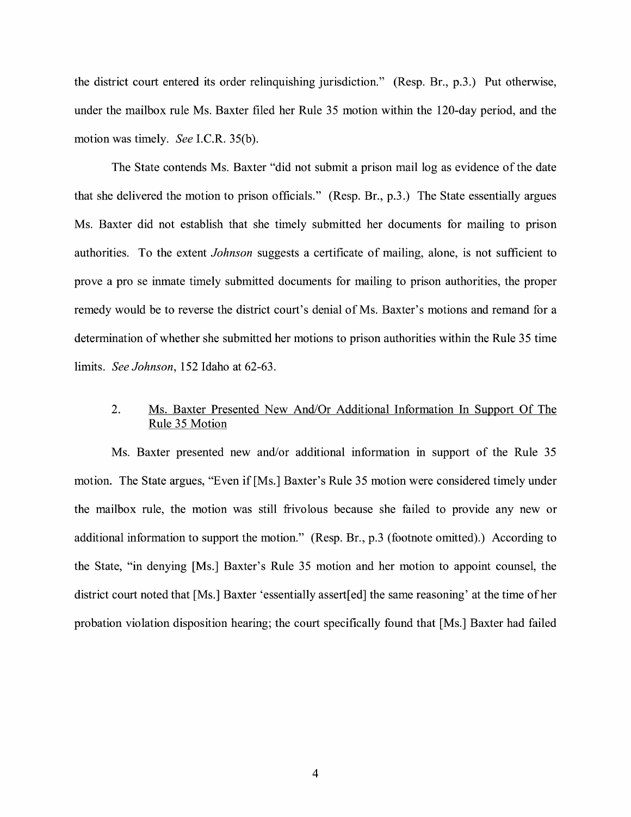the district court entered its order relinquishing jurisdiction." (Resp. Br., p.3.) Put otherwise, under the mailbox rule Ms. Baxter filed her Rule 35 motion within the 120-day period, and the motion was timely. *See I.C.R.* 35(b).

The State contends Ms. Baxter "did not submit a prison mail log as evidence of the date that she delivered the motion to prison officials." (Resp. Br., p.3.) The State essentially argues Ms. Baxter did not establish that she timely submitted her documents for mailing to prison authorities. To the extent *Johnson* suggests a certificate of mailing, alone, is not sufficient to prove a pro se inmate timely submitted documents for mailing to prison authorities, the proper remedy would be to reverse the district court's denial of Ms. Baxter's motions and remand for a determination of whether she submitted her motions to prison authorities within the Rule 35 time limits. *See Johnson,* 152 Idaho at 62-63.

# 2. Ms. Baxter Presented New And/Or Additional Information In Support Of The Rule 35 Motion

Ms. Baxter presented new and/or additional information in support of the Rule 35 motion. The State argues, "Even if [Ms.] Baxter's Rule 35 motion were considered timely under the mailbox rule, the motion was still frivolous because she failed to provide any new or additional information to support the motion." (Resp. Br., p.3 (footnote omitted).) According to the State, "in denying [Ms.] Baxter's Rule 35 motion and her motion to appoint counsel, the district court noted that [Ms.] Baxter 'essentially assert[ed] the same reasoning' at the time of her probation violation disposition hearing; the court specifically found that [Ms.] Baxter had failed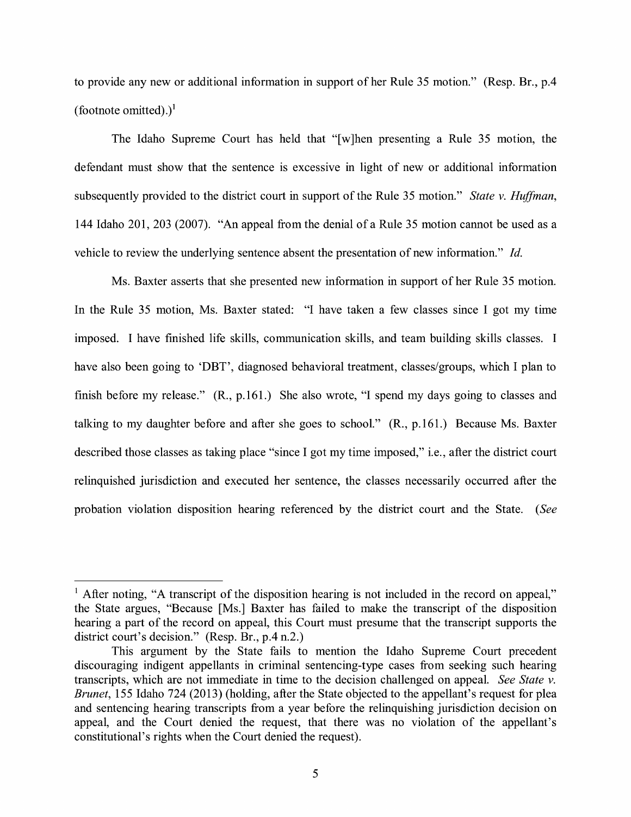to provide any new or additional information in support of her Rule 35 motion." (Resp. Br., p.4 (footnote omitted).)<sup>1</sup>

The Idaho Supreme Court has held that "[w]hen presenting a Rule 35 motion, the defendant must show that the sentence is excessive in light of new or additional information subsequently provided to the district court in support of the Rule 35 motion." *State v. Huffman,*  144 Idaho 201, 203 (2007). "An appeal from the denial of a Rule 35 motion cannot be used as a vehicle to review the underlying sentence absent the presentation of new information." *Id.* 

Ms. Baxter asserts that she presented new information in support of her Rule 35 motion. In the Rule 35 motion, Ms. Baxter stated: "I have taken a few classes since I got my time imposed. I have finished life skills, communication skills, and team building skills classes. I have also been going to 'DBT', diagnosed behavioral treatment, classes/groups, which I plan to finish before my release." **(R.,** p.161.) She also wrote, "I spend my days going to classes and talking to my daughter before and after she goes to school." **(R.,** p.161.) Because Ms. Baxter described those classes as taking place "since I got my time imposed," i.e., after the district court relinquished jurisdiction and executed her sentence, the classes necessarily occurred after the probation violation disposition hearing referenced by the district court and the State. *(See* 

<sup>&</sup>lt;sup>1</sup> After noting, "A transcript of the disposition hearing is not included in the record on appeal," the State argues, "Because [Ms.] Baxter has failed to make the transcript of the disposition hearing a part of the record on appeal, this Court must presume that the transcript supports the district court's decision." (Resp. Br., p.4 n.2.)

This argument by the State fails to mention the Idaho Supreme Court precedent discouraging indigent appellants in criminal sentencing-type cases from seeking such hearing transcripts, which are not immediate in time to the decision challenged on appeal. *See State v. Brunet,* 155 Idaho 724 (2013) (holding, after the State objected to the appellant's request for plea and sentencing hearing transcripts from a year before the relinquishing jurisdiction decision on appeal, and the Court denied the request, that there was no violation of the appellant's constitutional's rights when the Court denied the request).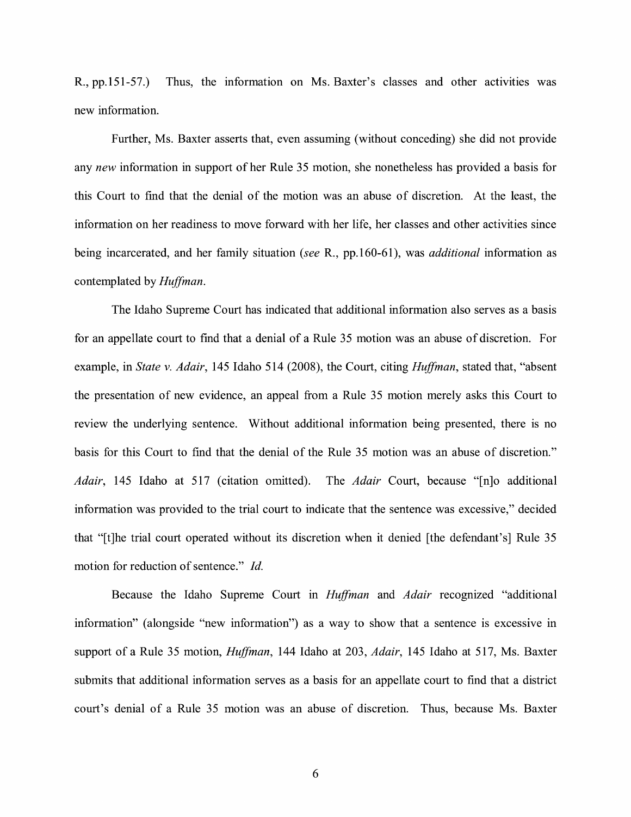R., pp.151-57.) Thus, the information on Ms. Baxter's classes and other activities was new information.

Further, Ms. Baxter asserts that, even assuming (without conceding) she did not provide any *new* information in support of her Rule 35 motion, she nonetheless has provided a basis for this Court to find that the denial of the motion was an abuse of discretion. At the least, the information on her readiness to move forward with her life, her classes and other activities since being incarcerated, and her family situation (see R., pp.160-61), was *additional* information as contemplated by *Huffman.* 

The Idaho Supreme Court has indicated that additional information also serves as a basis for an appellate court to find that a denial of a Rule 35 motion was an abuse of discretion. For example, in *State v. Adair,* 145 Idaho 514 (2008), the Court, citing *Huffman,* stated that, "absent the presentation of new evidence, an appeal from a Rule 35 motion merely asks this Court to review the underlying sentence. Without additional information being presented, there is no basis for this Court to find that the denial of the Rule 35 motion was an abuse of discretion." *Adair,* 145 Idaho at 517 (citation omitted). The *Adair* Court, because "[n]o additional information was provided to the trial court to indicate that the sentence was excessive," decided that "[t]he trial court operated without its discretion when it denied [the defendant's] Rule 35 motion for reduction of sentence." *Id.* 

Because the Idaho Supreme Court in *Huffman* and *Adair* recognized "additional information" ( alongside "new information") as a way to show that a sentence is excessive in support of a Rule 35 motion, *Huffman,* 144 Idaho at 203, *Adair,* 145 Idaho at 517, Ms. Baxter submits that additional information serves as a basis for an appellate court to find that a district court's denial of a Rule 35 motion was an abuse of discretion. Thus, because Ms. Baxter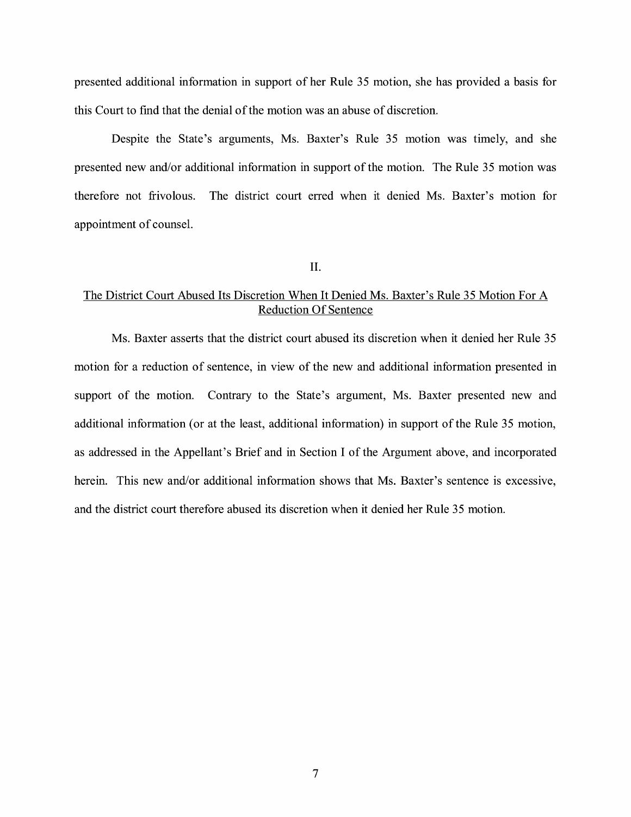presented additional information in support of her Rule 35 motion, she has provided a basis for this Court to find that the denial of the motion was an abuse of discretion.

Despite the State's arguments, Ms. Baxter's Rule 35 motion was timely, and she presented new and/or additional information in support of the motion. The Rule 35 motion was therefore not frivolous. The district court erred when it denied Ms. Baxter's motion for appointment of counsel.

## II.

# The District Court Abused Its Discretion When It Denied Ms. Baxter's Rule 35 Motion For A Reduction Of Sentence

Ms. Baxter asserts that the district court abused its discretion when it denied her Rule 35 motion for a reduction of sentence, in view of the new and additional information presented in support of the motion. Contrary to the State's argument, Ms. Baxter presented new and additional information (or at the least, additional information) in support of the Rule 35 motion, as addressed in the Appellant's Brief and in Section I of the Argument above, and incorporated herein. This new and/or additional information shows that Ms. Baxter's sentence is excessive, and the district court therefore abused its discretion when it denied her Rule 35 motion.